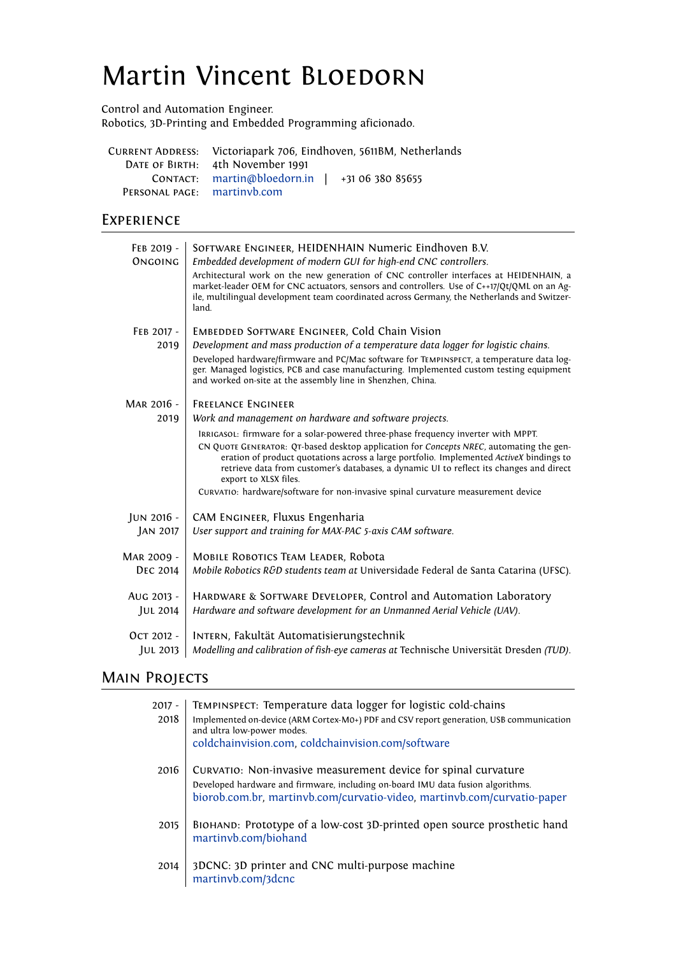# Martin Vincent BLOEDORN

Control and Automation Engineer.

Robotics, 3D-Printing and Embedded Programming aficionado.

|                             | CURRENT ADDRESS: Victoriapark 706, Eindhoven, 5611BM, Netherlands |
|-----------------------------|-------------------------------------------------------------------|
|                             | DATE OF BIRTH: 4th November 1991                                  |
|                             | CONTACT: martin@bloedorn.in   $+31$ 06 380 85655                  |
| PERSONAL PAGE: martinyb.com |                                                                   |

## **EXPERIENCE**

| FEB 2019 -<br>ONGOING | SOFTWARE ENGINEER, HEIDENHAIN Numeric Eindhoven B.V.<br>Embedded development of modern GUI for high-end CNC controllers.<br>Architectural work on the new generation of CNC controller interfaces at HEIDENHAIN, a<br>market-leader OEM for CNC actuators, sensors and controllers. Use of C++17/Qt/QML on an Ag-<br>ile, multilingual development team coordinated across Germany, the Netherlands and Switzer-<br>land. |
|-----------------------|---------------------------------------------------------------------------------------------------------------------------------------------------------------------------------------------------------------------------------------------------------------------------------------------------------------------------------------------------------------------------------------------------------------------------|
| FEB 2017 -            | <b>EMBEDDED SOFTWARE ENGINEER, Cold Chain Vision</b>                                                                                                                                                                                                                                                                                                                                                                      |
| 2019                  | Development and mass production of a temperature data logger for logistic chains.                                                                                                                                                                                                                                                                                                                                         |
|                       | Developed hardware/firmware and PC/Mac software for TEMPINSPECT, a temperature data log-<br>ger. Managed logistics, PCB and case manufacturing. Implemented custom testing equipment<br>and worked on-site at the assembly line in Shenzhen, China.                                                                                                                                                                       |
| MAR 2016 -            | <b>FREELANCE ENGINEER</b>                                                                                                                                                                                                                                                                                                                                                                                                 |
| 2019                  | Work and management on hardware and software projects.                                                                                                                                                                                                                                                                                                                                                                    |
|                       | IRRIGASOL: firmware for a solar-powered three-phase frequency inverter with MPPT.<br>CN QUOTE GENERATOR: QT-based desktop application for Concepts NREC, automating the gen-<br>eration of product quotations across a large portfolio. Implemented ActiveX bindings to<br>retrieve data from customer's databases, a dynamic UI to reflect its changes and direct<br>export to XLSX files.                               |
|                       | CURVATIO: hardware/software for non-invasive spinal curvature measurement device                                                                                                                                                                                                                                                                                                                                          |
| JUN 2016 -            | CAM ENGINEER, Fluxus Engenharia                                                                                                                                                                                                                                                                                                                                                                                           |
| JAN 2017              | User support and training for MAX-PAC 5-axis CAM software.                                                                                                                                                                                                                                                                                                                                                                |
| MAR 2009 -            | <b>MOBILE ROBOTICS TEAM LEADER, RODOTA</b>                                                                                                                                                                                                                                                                                                                                                                                |
| <b>DEC 2014</b>       | Mobile Robotics R&D students team at Universidade Federal de Santa Catarina (UFSC).                                                                                                                                                                                                                                                                                                                                       |
| AUG 2013 -            | HARDWARE & SOFTWARE DEVELOPER, Control and Automation Laboratory                                                                                                                                                                                                                                                                                                                                                          |
| JUL 2014              | Hardware and software development for an Unmanned Aerial Vehicle (UAV).                                                                                                                                                                                                                                                                                                                                                   |
| Ост 2012 -            | INTERN, Fakultät Automatisierungstechnik                                                                                                                                                                                                                                                                                                                                                                                  |
| JUL 2013              | Modelling and calibration of fish-eye cameras at Technische Universität Dresden (TUD).                                                                                                                                                                                                                                                                                                                                    |

## **MAIN PROJECTS**

| 2017 -<br>2018 | TEMPINSPECT: Temperature data logger for logistic cold-chains<br>Implemented on-device (ARM Cortex-M0+) PDF and CSV report generation, USB communication<br>and ultra low-power modes.<br>coldchainvision.com, coldchainvision.com/software |
|----------------|---------------------------------------------------------------------------------------------------------------------------------------------------------------------------------------------------------------------------------------------|
| 2016           | CURVATIO: Non-invasive measurement device for spinal curvature<br>Developed hardware and firmware, including on-board IMU data fusion algorithms.<br>biorob.com.br, martinvb.com/curvatio-video, martinvb.com/curvatio-paper                |
| 2015           | BIOHAND: Prototype of a low-cost 3D-printed open source prosthetic hand<br>martinvb.com/biohand                                                                                                                                             |
| 2014           | 3DCNC: 3D printer and CNC multi-purpose machine<br>martinvb.com/3dcnc                                                                                                                                                                       |